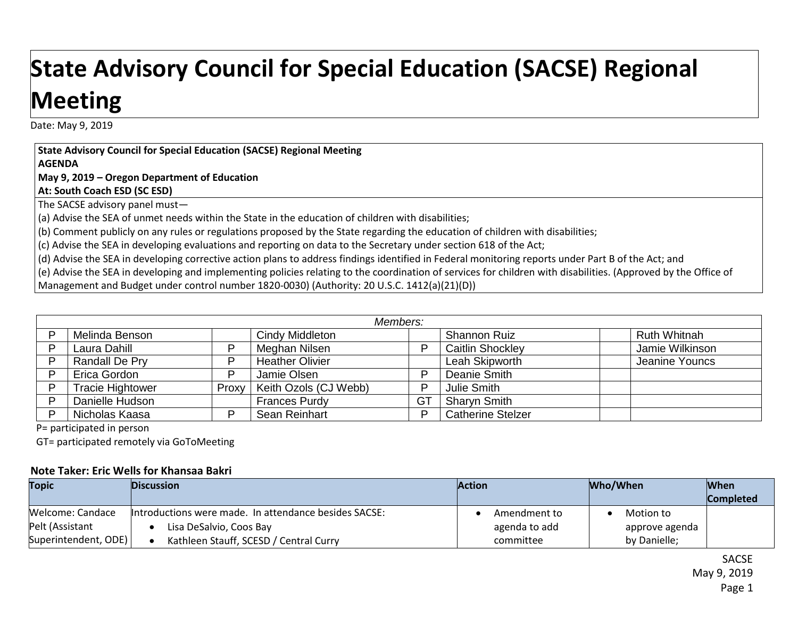## **State Advisory Council for Special Education (SACSE) Regional Meeting**

Date: May 9, 2019

**State Advisory Council for Special Education (SACSE) Regional Meeting AGENDA**

**May 9, 2019 – Oregon Department of Education**

**At: South Coach ESD (SC ESD)**

The SACSE advisory panel must—

(a) Advise the SEA of unmet needs within the State in the education of children with disabilities;

(b) Comment publicly on any rules or regulations proposed by the State regarding the education of children with disabilities;

(c) Advise the SEA in developing evaluations and reporting on data to the Secretary under section 618 of the Act;

(d) Advise the SEA in developing corrective action plans to address findings identified in Federal monitoring reports under Part B of the Act; and

(e) Advise the SEA in developing and implementing policies relating to the coordination of services for children with disabilities. (Approved by the Office of

Management and Budget under control number 1820-0030) (Authority: 20 U.S.C. 1412(a)(21)(D))

| Members:                |       |                        |           |                          |  |                     |
|-------------------------|-------|------------------------|-----------|--------------------------|--|---------------------|
| Melinda Benson          |       | Cindy Middleton        |           | Shannon Ruiz             |  | <b>Ruth Whitnah</b> |
| Laura Dahill            | D     | Meghan Nilsen          | D         | <b>Caitlin Shockley</b>  |  | Jamie Wilkinson     |
| Randall De Pry          | D     | <b>Heather Olivier</b> |           | Leah Skipworth           |  | Jeanine Youncs      |
| Erica Gordon            | D     | Jamie Olsen            | D         | Deanie Smith             |  |                     |
| <b>Tracie Hightower</b> | Proxy | Keith Ozols (CJ Webb)  | D         | Julie Smith              |  |                     |
| Danielle Hudson         |       | <b>Frances Purdy</b>   | <b>GT</b> | <b>Sharyn Smith</b>      |  |                     |
| Nicholas Kaasa          | ח     | Sean Reinhart          | D         | <b>Catherine Stelzer</b> |  |                     |

P= participated in person

GT= participated remotely via GoToMeeting

## **Note Taker: Eric Wells for Khansaa Bakri**

| <b>Topic</b>         | <b>Discussion</b>                                     | <b>Action</b> | Who/When       | <b>When</b>      |
|----------------------|-------------------------------------------------------|---------------|----------------|------------------|
|                      |                                                       |               |                | <b>Completed</b> |
| Welcome: Candace     | Introductions were made. In attendance besides SACSE: | Amendment to  | Motion to      |                  |
| Pelt (Assistant      | Lisa DeSalvio, Coos Bay                               | agenda to add | approve agenda |                  |
| Superintendent, ODE) | Kathleen Stauff, SCESD / Central Curry                | committee     | by Danielle;   |                  |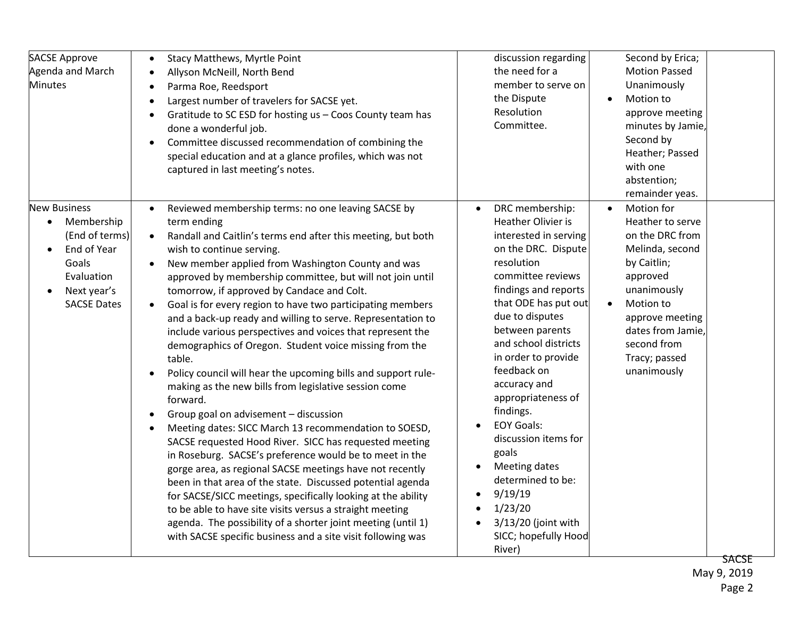| <b>SACSE Approve</b><br>Agenda and March<br><b>Minutes</b>                                                                     | <b>Stacy Matthews, Myrtle Point</b><br>$\bullet$<br>Allyson McNeill, North Bend<br>$\bullet$<br>Parma Roe, Reedsport<br>$\bullet$<br>Largest number of travelers for SACSE yet.<br>$\bullet$<br>Gratitude to SC ESD for hosting us - Coos County team has<br>$\bullet$<br>done a wonderful job.<br>Committee discussed recommendation of combining the<br>$\bullet$<br>special education and at a glance profiles, which was not<br>captured in last meeting's notes.                                                                                                                                                                                                                                                                                                                                                                                                                                                                                                                                                                                                                                                                                                                                                                                                                                                                                                                               | discussion regarding<br>the need for a<br>member to serve on<br>the Dispute<br>Resolution<br>Committee.                                                                                                                                                                                                                                                                                                                                                                                                                 | Second by Erica;<br><b>Motion Passed</b><br>Unanimously<br>Motion to<br>$\bullet$<br>approve meeting<br>minutes by Jamie,<br>Second by<br>Heather; Passed<br>with one<br>abstention;<br>remainder yeas.                         |
|--------------------------------------------------------------------------------------------------------------------------------|-----------------------------------------------------------------------------------------------------------------------------------------------------------------------------------------------------------------------------------------------------------------------------------------------------------------------------------------------------------------------------------------------------------------------------------------------------------------------------------------------------------------------------------------------------------------------------------------------------------------------------------------------------------------------------------------------------------------------------------------------------------------------------------------------------------------------------------------------------------------------------------------------------------------------------------------------------------------------------------------------------------------------------------------------------------------------------------------------------------------------------------------------------------------------------------------------------------------------------------------------------------------------------------------------------------------------------------------------------------------------------------------------------|-------------------------------------------------------------------------------------------------------------------------------------------------------------------------------------------------------------------------------------------------------------------------------------------------------------------------------------------------------------------------------------------------------------------------------------------------------------------------------------------------------------------------|---------------------------------------------------------------------------------------------------------------------------------------------------------------------------------------------------------------------------------|
| <b>New Business</b><br>Membership<br>(End of terms)<br>End of Year<br>Goals<br>Evaluation<br>Next year's<br><b>SACSE Dates</b> | Reviewed membership terms: no one leaving SACSE by<br>term ending<br>Randall and Caitlin's terms end after this meeting, but both<br>$\bullet$<br>wish to continue serving.<br>New member applied from Washington County and was<br>$\bullet$<br>approved by membership committee, but will not join until<br>tomorrow, if approved by Candace and Colt.<br>Goal is for every region to have two participating members<br>$\bullet$<br>and a back-up ready and willing to serve. Representation to<br>include various perspectives and voices that represent the<br>demographics of Oregon. Student voice missing from the<br>table.<br>Policy council will hear the upcoming bills and support rule-<br>making as the new bills from legislative session come<br>forward.<br>Group goal on advisement - discussion<br>$\bullet$<br>Meeting dates: SICC March 13 recommendation to SOESD,<br>SACSE requested Hood River. SICC has requested meeting<br>in Roseburg. SACSE's preference would be to meet in the<br>gorge area, as regional SACSE meetings have not recently<br>been in that area of the state. Discussed potential agenda<br>for SACSE/SICC meetings, specifically looking at the ability<br>to be able to have site visits versus a straight meeting<br>agenda. The possibility of a shorter joint meeting (until 1)<br>with SACSE specific business and a site visit following was | DRC membership:<br>Heather Olivier is<br>interested in serving<br>on the DRC. Dispute<br>resolution<br>committee reviews<br>findings and reports<br>that ODE has put out<br>due to disputes<br>between parents<br>and school districts<br>in order to provide<br>feedback on<br>accuracy and<br>appropriateness of<br>findings.<br><b>EOY Goals:</b><br>discussion items for<br>goals<br>Meeting dates<br>determined to be:<br>9/19/19<br>$\bullet$<br>1/23/20<br>3/13/20 (joint with<br>SICC; hopefully Hood<br>River) | Motion for<br>Heather to serve<br>on the DRC from<br>Melinda, second<br>by Caitlin;<br>approved<br>unanimously<br>Motion to<br>$\bullet$<br>approve meeting<br>dates from Jamie,<br>second from<br>Tracy; passed<br>unanimously |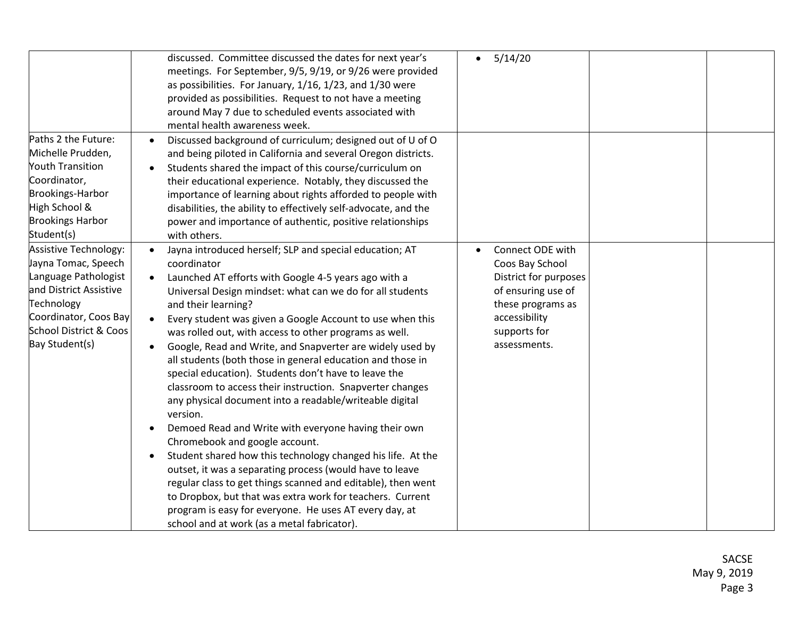|                                                                                                                                                                                          | discussed. Committee discussed the dates for next year's<br>meetings. For September, 9/5, 9/19, or 9/26 were provided<br>as possibilities. For January, 1/16, 1/23, and 1/30 were<br>provided as possibilities. Request to not have a meeting<br>around May 7 due to scheduled events associated with<br>mental health awareness week.                                                                                                                                                                                                                                                                                                                                                                                                                                                                                                                                                                                                                                                                                                                                                                                                                                                            | 5/14/20<br>$\bullet$                                                                                                                                     |  |
|------------------------------------------------------------------------------------------------------------------------------------------------------------------------------------------|---------------------------------------------------------------------------------------------------------------------------------------------------------------------------------------------------------------------------------------------------------------------------------------------------------------------------------------------------------------------------------------------------------------------------------------------------------------------------------------------------------------------------------------------------------------------------------------------------------------------------------------------------------------------------------------------------------------------------------------------------------------------------------------------------------------------------------------------------------------------------------------------------------------------------------------------------------------------------------------------------------------------------------------------------------------------------------------------------------------------------------------------------------------------------------------------------|----------------------------------------------------------------------------------------------------------------------------------------------------------|--|
| Paths 2 the Future:<br>Michelle Prudden,<br><b>Youth Transition</b><br>Coordinator,<br><b>Brookings-Harbor</b><br>High School &<br><b>Brookings Harbor</b><br>Student(s)                 | Discussed background of curriculum; designed out of U of O<br>$\bullet$<br>and being piloted in California and several Oregon districts.<br>Students shared the impact of this course/curriculum on<br>$\bullet$<br>their educational experience. Notably, they discussed the<br>importance of learning about rights afforded to people with<br>disabilities, the ability to effectively self-advocate, and the<br>power and importance of authentic, positive relationships<br>with others.                                                                                                                                                                                                                                                                                                                                                                                                                                                                                                                                                                                                                                                                                                      |                                                                                                                                                          |  |
| <b>Assistive Technology:</b><br>Jayna Tomac, Speech<br>Language Pathologist<br>and District Assistive<br>Technology<br>Coordinator, Coos Bay<br>School District & Coos<br>Bay Student(s) | Jayna introduced herself; SLP and special education; AT<br>$\bullet$<br>coordinator<br>Launched AT efforts with Google 4-5 years ago with a<br>$\bullet$<br>Universal Design mindset: what can we do for all students<br>and their learning?<br>Every student was given a Google Account to use when this<br>$\bullet$<br>was rolled out, with access to other programs as well.<br>Google, Read and Write, and Snapverter are widely used by<br>$\bullet$<br>all students (both those in general education and those in<br>special education). Students don't have to leave the<br>classroom to access their instruction. Snapverter changes<br>any physical document into a readable/writeable digital<br>version.<br>Demoed Read and Write with everyone having their own<br>٠<br>Chromebook and google account.<br>Student shared how this technology changed his life. At the<br>$\bullet$<br>outset, it was a separating process (would have to leave<br>regular class to get things scanned and editable), then went<br>to Dropbox, but that was extra work for teachers. Current<br>program is easy for everyone. He uses AT every day, at<br>school and at work (as a metal fabricator). | Connect ODE with<br>Coos Bay School<br>District for purposes<br>of ensuring use of<br>these programs as<br>accessibility<br>supports for<br>assessments. |  |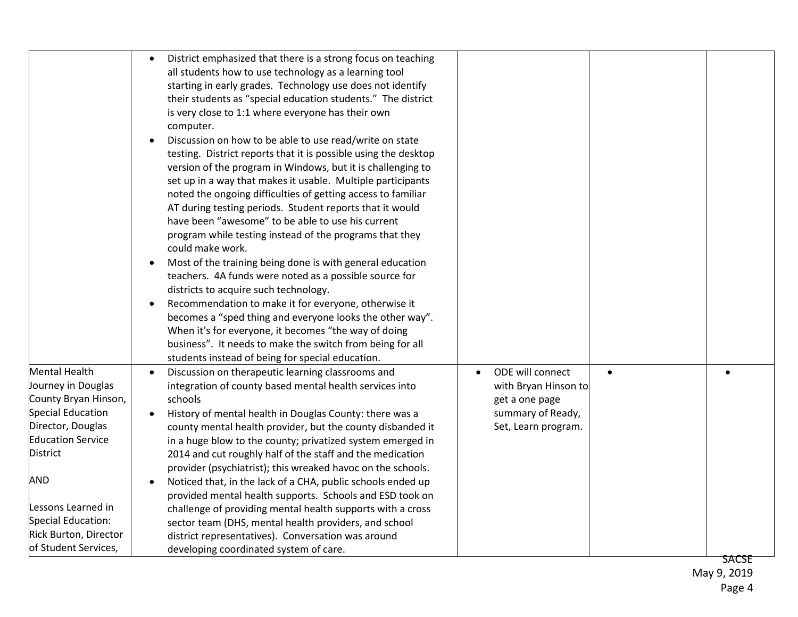|                                               | District emphasized that there is a strong focus on teaching<br>all students how to use technology as a learning tool<br>starting in early grades. Technology use does not identify<br>their students as "special education students." The district<br>is very close to 1:1 where everyone has their own<br>computer.<br>Discussion on how to be able to use read/write on state<br>$\bullet$<br>testing. District reports that it is possible using the desktop<br>version of the program in Windows, but it is challenging to<br>set up in a way that makes it usable. Multiple participants<br>noted the ongoing difficulties of getting access to familiar<br>AT during testing periods. Student reports that it would<br>have been "awesome" to be able to use his current<br>program while testing instead of the programs that they<br>could make work.<br>Most of the training being done is with general education<br>$\bullet$<br>teachers. 4A funds were noted as a possible source for<br>districts to acquire such technology.<br>Recommendation to make it for everyone, otherwise it<br>$\bullet$<br>becomes a "sped thing and everyone looks the other way".<br>When it's for everyone, it becomes "the way of doing<br>business". It needs to make the switch from being for all<br>students instead of being for special education. |                                          |              |
|-----------------------------------------------|-------------------------------------------------------------------------------------------------------------------------------------------------------------------------------------------------------------------------------------------------------------------------------------------------------------------------------------------------------------------------------------------------------------------------------------------------------------------------------------------------------------------------------------------------------------------------------------------------------------------------------------------------------------------------------------------------------------------------------------------------------------------------------------------------------------------------------------------------------------------------------------------------------------------------------------------------------------------------------------------------------------------------------------------------------------------------------------------------------------------------------------------------------------------------------------------------------------------------------------------------------------------------------------------------------------------------------------------------------|------------------------------------------|--------------|
| <b>Mental Health</b><br>Journey in Douglas    | Discussion on therapeutic learning classrooms and<br>$\bullet$<br>integration of county based mental health services into                                                                                                                                                                                                                                                                                                                                                                                                                                                                                                                                                                                                                                                                                                                                                                                                                                                                                                                                                                                                                                                                                                                                                                                                                             | ODE will connect<br>with Bryan Hinson to |              |
| County Bryan Hinson,                          | schools                                                                                                                                                                                                                                                                                                                                                                                                                                                                                                                                                                                                                                                                                                                                                                                                                                                                                                                                                                                                                                                                                                                                                                                                                                                                                                                                               | get a one page                           |              |
| <b>Special Education</b><br>Director, Douglas | History of mental health in Douglas County: there was a                                                                                                                                                                                                                                                                                                                                                                                                                                                                                                                                                                                                                                                                                                                                                                                                                                                                                                                                                                                                                                                                                                                                                                                                                                                                                               | summary of Ready,<br>Set, Learn program. |              |
| <b>Education Service</b>                      | county mental health provider, but the county disbanded it<br>in a huge blow to the county; privatized system emerged in                                                                                                                                                                                                                                                                                                                                                                                                                                                                                                                                                                                                                                                                                                                                                                                                                                                                                                                                                                                                                                                                                                                                                                                                                              |                                          |              |
| District                                      | 2014 and cut roughly half of the staff and the medication                                                                                                                                                                                                                                                                                                                                                                                                                                                                                                                                                                                                                                                                                                                                                                                                                                                                                                                                                                                                                                                                                                                                                                                                                                                                                             |                                          |              |
|                                               | provider (psychiatrist); this wreaked havoc on the schools.                                                                                                                                                                                                                                                                                                                                                                                                                                                                                                                                                                                                                                                                                                                                                                                                                                                                                                                                                                                                                                                                                                                                                                                                                                                                                           |                                          |              |
| <b>AND</b>                                    | Noticed that, in the lack of a CHA, public schools ended up<br>$\bullet$                                                                                                                                                                                                                                                                                                                                                                                                                                                                                                                                                                                                                                                                                                                                                                                                                                                                                                                                                                                                                                                                                                                                                                                                                                                                              |                                          |              |
|                                               | provided mental health supports. Schools and ESD took on                                                                                                                                                                                                                                                                                                                                                                                                                                                                                                                                                                                                                                                                                                                                                                                                                                                                                                                                                                                                                                                                                                                                                                                                                                                                                              |                                          |              |
| Lessons Learned in                            | challenge of providing mental health supports with a cross                                                                                                                                                                                                                                                                                                                                                                                                                                                                                                                                                                                                                                                                                                                                                                                                                                                                                                                                                                                                                                                                                                                                                                                                                                                                                            |                                          |              |
| Special Education:                            | sector team (DHS, mental health providers, and school                                                                                                                                                                                                                                                                                                                                                                                                                                                                                                                                                                                                                                                                                                                                                                                                                                                                                                                                                                                                                                                                                                                                                                                                                                                                                                 |                                          |              |
| Rick Burton, Director<br>of Student Services, | district representatives). Conversation was around                                                                                                                                                                                                                                                                                                                                                                                                                                                                                                                                                                                                                                                                                                                                                                                                                                                                                                                                                                                                                                                                                                                                                                                                                                                                                                    |                                          |              |
|                                               | developing coordinated system of care.                                                                                                                                                                                                                                                                                                                                                                                                                                                                                                                                                                                                                                                                                                                                                                                                                                                                                                                                                                                                                                                                                                                                                                                                                                                                                                                |                                          | <b>SACSE</b> |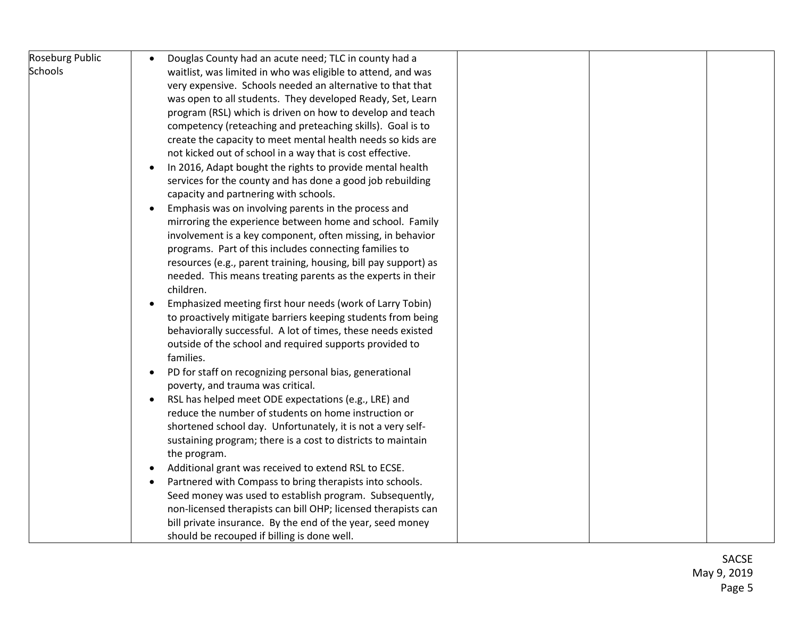| <b>Roseburg Public</b> | Douglas County had an acute need; TLC in county had a                  |  |  |
|------------------------|------------------------------------------------------------------------|--|--|
| <b>Schools</b>         | waitlist, was limited in who was eligible to attend, and was           |  |  |
|                        | very expensive. Schools needed an alternative to that that             |  |  |
|                        | was open to all students. They developed Ready, Set, Learn             |  |  |
|                        | program (RSL) which is driven on how to develop and teach              |  |  |
|                        | competency (reteaching and preteaching skills). Goal is to             |  |  |
|                        | create the capacity to meet mental health needs so kids are            |  |  |
|                        | not kicked out of school in a way that is cost effective.              |  |  |
|                        | In 2016, Adapt bought the rights to provide mental health<br>$\bullet$ |  |  |
|                        | services for the county and has done a good job rebuilding             |  |  |
|                        | capacity and partnering with schools.                                  |  |  |
|                        | Emphasis was on involving parents in the process and                   |  |  |
|                        | mirroring the experience between home and school. Family               |  |  |
|                        | involvement is a key component, often missing, in behavior             |  |  |
|                        | programs. Part of this includes connecting families to                 |  |  |
|                        | resources (e.g., parent training, housing, bill pay support) as        |  |  |
|                        | needed. This means treating parents as the experts in their            |  |  |
|                        | children.                                                              |  |  |
|                        | Emphasized meeting first hour needs (work of Larry Tobin)<br>$\bullet$ |  |  |
|                        | to proactively mitigate barriers keeping students from being           |  |  |
|                        | behaviorally successful. A lot of times, these needs existed           |  |  |
|                        | outside of the school and required supports provided to                |  |  |
|                        | families.                                                              |  |  |
|                        | PD for staff on recognizing personal bias, generational<br>$\bullet$   |  |  |
|                        | poverty, and trauma was critical.                                      |  |  |
|                        | RSL has helped meet ODE expectations (e.g., LRE) and<br>$\bullet$      |  |  |
|                        | reduce the number of students on home instruction or                   |  |  |
|                        | shortened school day. Unfortunately, it is not a very self-            |  |  |
|                        | sustaining program; there is a cost to districts to maintain           |  |  |
|                        | the program.                                                           |  |  |
|                        | Additional grant was received to extend RSL to ECSE.                   |  |  |
|                        | Partnered with Compass to bring therapists into schools.               |  |  |
|                        | Seed money was used to establish program. Subsequently,                |  |  |
|                        | non-licensed therapists can bill OHP; licensed therapists can          |  |  |
|                        | bill private insurance. By the end of the year, seed money             |  |  |
|                        | should be recouped if billing is done well.                            |  |  |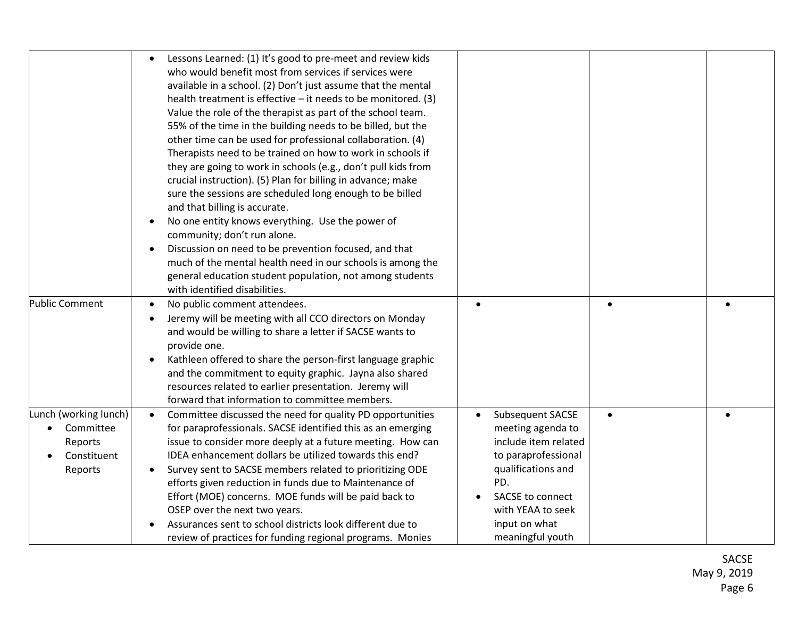|                                                                                      | Lessons Learned: (1) It's good to pre-meet and review kids<br>who would benefit most from services if services were<br>available in a school. (2) Don't just assume that the mental<br>health treatment is effective - it needs to be monitored. (3)<br>Value the role of the therapist as part of the school team.<br>55% of the time in the building needs to be billed, but the<br>other time can be used for professional collaboration. (4)<br>Therapists need to be trained on how to work in schools if<br>they are going to work in schools (e.g., don't pull kids from<br>crucial instruction). (5) Plan for billing in advance; make<br>sure the sessions are scheduled long enough to be billed<br>and that billing is accurate.<br>No one entity knows everything. Use the power of<br>$\bullet$<br>community; don't run alone.<br>Discussion on need to be prevention focused, and that<br>$\bullet$<br>much of the mental health need in our schools is among the<br>general education student population, not among students<br>with identified disabilities. |                                                                                                                                                                                                 |           |  |
|--------------------------------------------------------------------------------------|------------------------------------------------------------------------------------------------------------------------------------------------------------------------------------------------------------------------------------------------------------------------------------------------------------------------------------------------------------------------------------------------------------------------------------------------------------------------------------------------------------------------------------------------------------------------------------------------------------------------------------------------------------------------------------------------------------------------------------------------------------------------------------------------------------------------------------------------------------------------------------------------------------------------------------------------------------------------------------------------------------------------------------------------------------------------------|-------------------------------------------------------------------------------------------------------------------------------------------------------------------------------------------------|-----------|--|
| <b>Public Comment</b>                                                                | No public comment attendees.<br>$\bullet$<br>Jeremy will be meeting with all CCO directors on Monday<br>and would be willing to share a letter if SACSE wants to<br>provide one.<br>Kathleen offered to share the person-first language graphic<br>$\bullet$<br>and the commitment to equity graphic. Jayna also shared<br>resources related to earlier presentation. Jeremy will<br>forward that information to committee members.                                                                                                                                                                                                                                                                                                                                                                                                                                                                                                                                                                                                                                          | $\bullet$                                                                                                                                                                                       | $\bullet$ |  |
| Lunch (working lunch)<br>Committee<br>$\bullet$<br>Reports<br>Constituent<br>Reports | Committee discussed the need for quality PD opportunities<br>$\bullet$<br>for paraprofessionals. SACSE identified this as an emerging<br>issue to consider more deeply at a future meeting. How can<br>IDEA enhancement dollars be utilized towards this end?<br>Survey sent to SACSE members related to prioritizing ODE<br>efforts given reduction in funds due to Maintenance of<br>Effort (MOE) concerns. MOE funds will be paid back to<br>OSEP over the next two years.<br>Assurances sent to school districts look different due to<br>review of practices for funding regional programs. Monies                                                                                                                                                                                                                                                                                                                                                                                                                                                                      | Subsequent SACSE<br>meeting agenda to<br>include item related<br>to paraprofessional<br>qualifications and<br>PD.<br>SACSE to connect<br>with YEAA to seek<br>input on what<br>meaningful youth | $\bullet$ |  |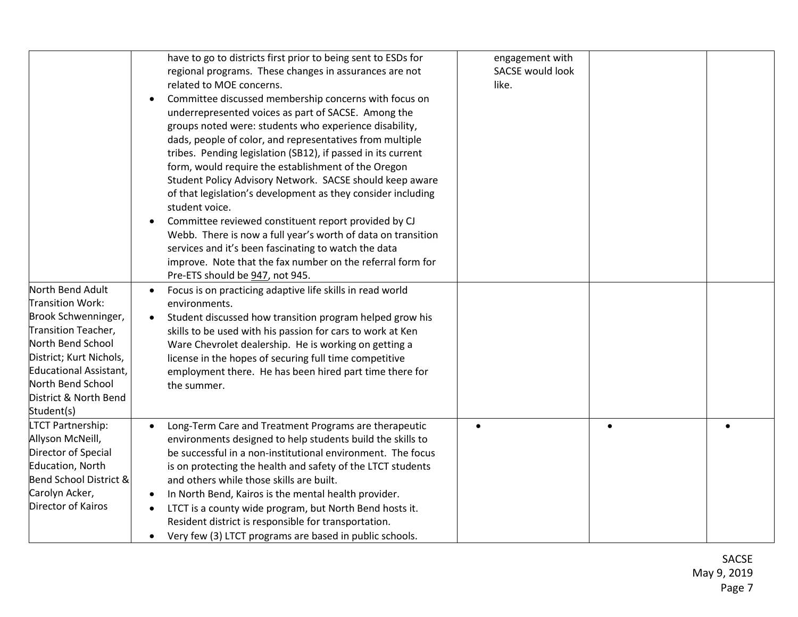| North Bend Adult<br><b>Transition Work:</b><br>Brook Schwenninger,<br>Transition Teacher,<br>North Bend School<br>District; Kurt Nichols,<br>Educational Assistant,<br>North Bend School<br>District & North Bend<br>Student(s) | have to go to districts first prior to being sent to ESDs for<br>regional programs. These changes in assurances are not<br>related to MOE concerns.<br>Committee discussed membership concerns with focus on<br>$\bullet$<br>underrepresented voices as part of SACSE. Among the<br>groups noted were: students who experience disability,<br>dads, people of color, and representatives from multiple<br>tribes. Pending legislation (SB12), if passed in its current<br>form, would require the establishment of the Oregon<br>Student Policy Advisory Network. SACSE should keep aware<br>of that legislation's development as they consider including<br>student voice.<br>Committee reviewed constituent report provided by CJ<br>$\bullet$<br>Webb. There is now a full year's worth of data on transition<br>services and it's been fascinating to watch the data<br>improve. Note that the fax number on the referral form for<br>Pre-ETS should be 947, not 945.<br>Focus is on practicing adaptive life skills in read world<br>$\bullet$<br>environments.<br>Student discussed how transition program helped grow his<br>skills to be used with his passion for cars to work at Ken<br>Ware Chevrolet dealership. He is working on getting a<br>license in the hopes of securing full time competitive<br>employment there. He has been hired part time there for<br>the summer. | engagement with<br>SACSE would look<br>like. |  |
|---------------------------------------------------------------------------------------------------------------------------------------------------------------------------------------------------------------------------------|---------------------------------------------------------------------------------------------------------------------------------------------------------------------------------------------------------------------------------------------------------------------------------------------------------------------------------------------------------------------------------------------------------------------------------------------------------------------------------------------------------------------------------------------------------------------------------------------------------------------------------------------------------------------------------------------------------------------------------------------------------------------------------------------------------------------------------------------------------------------------------------------------------------------------------------------------------------------------------------------------------------------------------------------------------------------------------------------------------------------------------------------------------------------------------------------------------------------------------------------------------------------------------------------------------------------------------------------------------------------------------------------|----------------------------------------------|--|
| <b>LTCT Partnership:</b><br>Allyson McNeill,<br>Director of Special<br>Education, North<br>Bend School District &<br>Carolyn Acker,<br>Director of Kairos                                                                       | Long-Term Care and Treatment Programs are therapeutic<br>environments designed to help students build the skills to<br>be successful in a non-institutional environment. The focus<br>is on protecting the health and safety of the LTCT students<br>and others while those skills are built.<br>In North Bend, Kairos is the mental health provider.<br>LTCT is a county wide program, but North Bend hosts it.<br>$\bullet$<br>Resident district is responsible for transportation.<br>Very few (3) LTCT programs are based in public schools.<br>$\bullet$                                                                                                                                                                                                                                                                                                                                                                                                                                                                                                                                                                                                                                                                                                                                                                                                                               |                                              |  |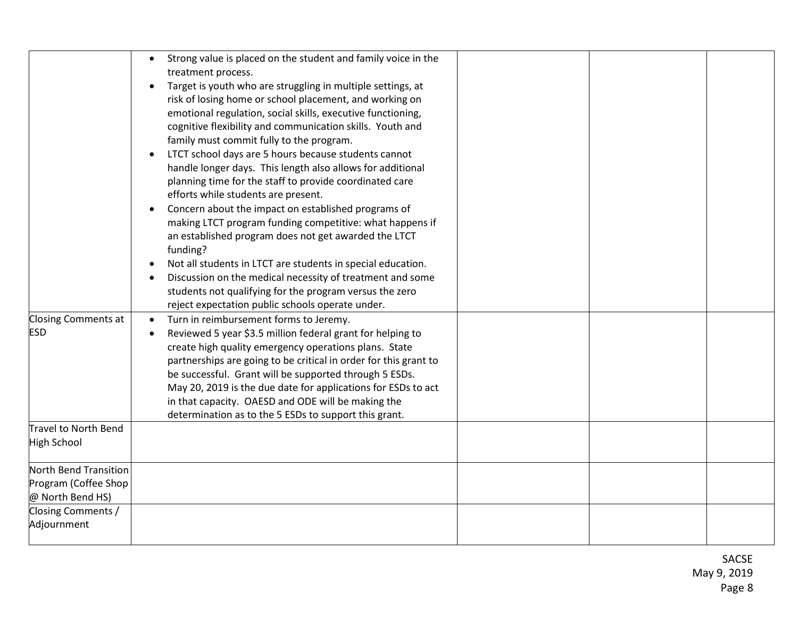|                                                                   | Strong value is placed on the student and family voice in the<br>$\bullet$<br>treatment process.<br>Target is youth who are struggling in multiple settings, at<br>$\bullet$<br>risk of losing home or school placement, and working on<br>emotional regulation, social skills, executive functioning,<br>cognitive flexibility and communication skills. Youth and<br>family must commit fully to the program.<br>LTCT school days are 5 hours because students cannot<br>$\bullet$<br>handle longer days. This length also allows for additional<br>planning time for the staff to provide coordinated care<br>efforts while students are present.<br>Concern about the impact on established programs of<br>$\bullet$<br>making LTCT program funding competitive: what happens if<br>an established program does not get awarded the LTCT<br>funding?<br>Not all students in LTCT are students in special education.<br>$\bullet$<br>Discussion on the medical necessity of treatment and some<br>students not qualifying for the program versus the zero<br>reject expectation public schools operate under. |  |  |
|-------------------------------------------------------------------|------------------------------------------------------------------------------------------------------------------------------------------------------------------------------------------------------------------------------------------------------------------------------------------------------------------------------------------------------------------------------------------------------------------------------------------------------------------------------------------------------------------------------------------------------------------------------------------------------------------------------------------------------------------------------------------------------------------------------------------------------------------------------------------------------------------------------------------------------------------------------------------------------------------------------------------------------------------------------------------------------------------------------------------------------------------------------------------------------------------|--|--|
| Closing Comments at<br><b>ESD</b>                                 | Turn in reimbursement forms to Jeremy.<br>$\bullet$<br>Reviewed 5 year \$3.5 million federal grant for helping to<br>$\bullet$<br>create high quality emergency operations plans. State<br>partnerships are going to be critical in order for this grant to<br>be successful. Grant will be supported through 5 ESDs.<br>May 20, 2019 is the due date for applications for ESDs to act<br>in that capacity. OAESD and ODE will be making the<br>determination as to the 5 ESDs to support this grant.                                                                                                                                                                                                                                                                                                                                                                                                                                                                                                                                                                                                            |  |  |
| Travel to North Bend<br>High School                               |                                                                                                                                                                                                                                                                                                                                                                                                                                                                                                                                                                                                                                                                                                                                                                                                                                                                                                                                                                                                                                                                                                                  |  |  |
| North Bend Transition<br>Program (Coffee Shop<br>@ North Bend HS) |                                                                                                                                                                                                                                                                                                                                                                                                                                                                                                                                                                                                                                                                                                                                                                                                                                                                                                                                                                                                                                                                                                                  |  |  |
| Closing Comments /<br>Adjournment                                 |                                                                                                                                                                                                                                                                                                                                                                                                                                                                                                                                                                                                                                                                                                                                                                                                                                                                                                                                                                                                                                                                                                                  |  |  |